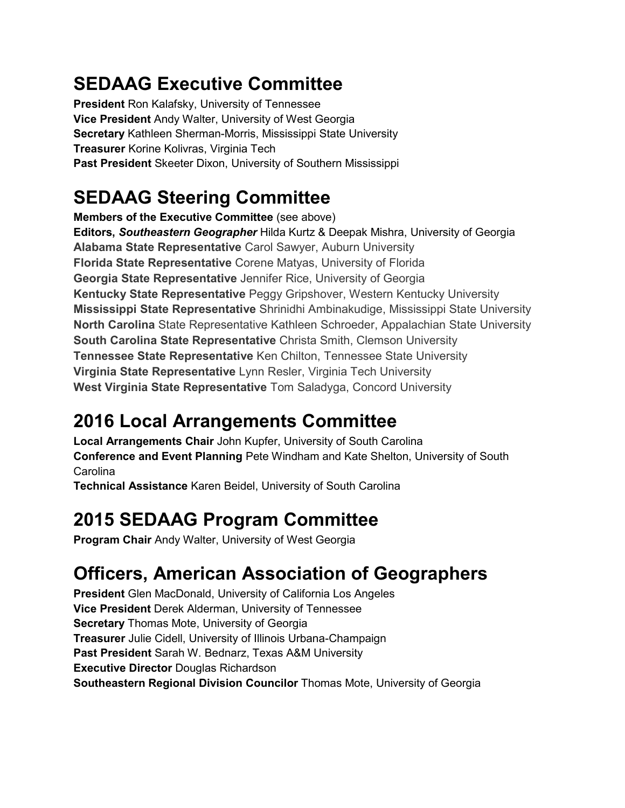# **SEDAAG Executive Committee**

**President** Ron Kalafsky, University of Tennessee **Vice President** Andy Walter, University of West Georgia **Secretary** Kathleen Sherman-Morris, Mississippi State University **Treasurer** Korine Kolivras, Virginia Tech **Past President** Skeeter Dixon, University of Southern Mississippi

# **SEDAAG Steering Committee**

**Members of the Executive Committee** (see above) **Editors,** *Southeastern Geographer* Hilda Kurtz & Deepak Mishra, University of Georgia **Alabama State Representative** Carol Sawyer, Auburn University **Florida State Representative** Corene Matyas, University of Florida **Georgia State Representative** Jennifer Rice, University of Georgia **Kentucky State Representative** Peggy Gripshover, Western Kentucky University **Mississippi State Representative** Shrinidhi Ambinakudige, Mississippi State University **North Carolina** State Representative Kathleen Schroeder, Appalachian State University **South Carolina State Representative** Christa Smith, Clemson University **Tennessee State Representative** Ken Chilton, Tennessee State University **Virginia State Representative** Lynn Resler, Virginia Tech University **West Virginia State Representative** Tom Saladyga, Concord University

# **2016 Local Arrangements Committee**

**Local Arrangements Chair** John Kupfer, University of South Carolina **Conference and Event Planning** Pete Windham and Kate Shelton, University of South Carolina

**Technical Assistance** Karen Beidel, University of South Carolina

# **2015 SEDAAG Program Committee**

**Program Chair** Andy Walter, University of West Georgia

# **Officers, American Association of Geographers**

**President** Glen MacDonald, University of California Los Angeles **Vice President** Derek Alderman, University of Tennessee **Secretary** Thomas Mote, University of Georgia **Treasurer** Julie Cidell, University of Illinois Urbana-Champaign **Past President** Sarah W. Bednarz, Texas A&M University **Executive Director** Douglas Richardson **Southeastern Regional Division Councilor** Thomas Mote, University of Georgia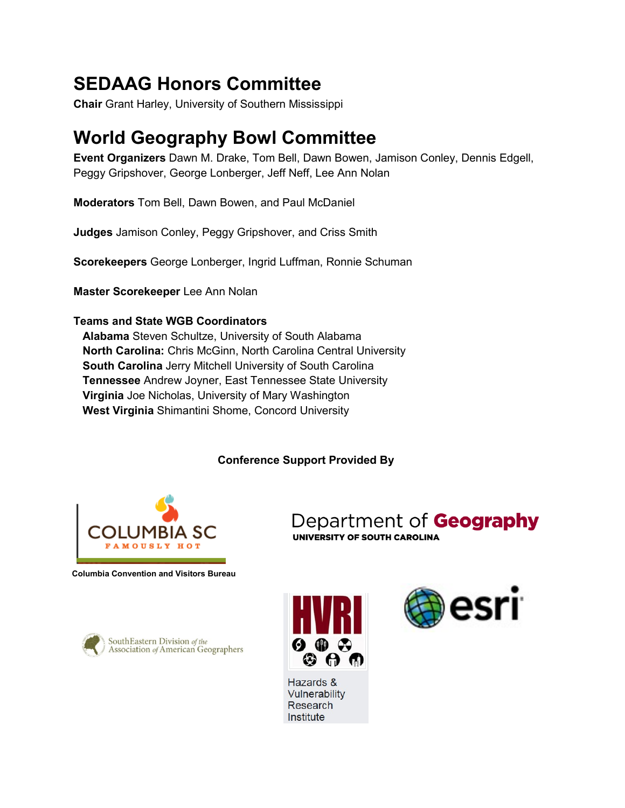# **SEDAAG Honors Committee**

**Chair** Grant Harley, University of Southern Mississippi

# **World Geography Bowl Committee**

**Event Organizers** Dawn M. Drake, Tom Bell, Dawn Bowen, Jamison Conley, Dennis Edgell, Peggy Gripshover, George Lonberger, Jeff Neff, Lee Ann Nolan

**Moderators** Tom Bell, Dawn Bowen, and Paul McDaniel

**Judges** Jamison Conley, Peggy Gripshover, and Criss Smith

**Scorekeepers** George Lonberger, Ingrid Luffman, Ronnie Schuman

**Master Scorekeeper** Lee Ann Nolan

### **Teams and State WGB Coordinators**

**Alabama** Steven Schultze, University of South Alabama **North Carolina:** Chris McGinn, North Carolina Central University **South Carolina** Jerry Mitchell University of South Carolina **Tennessee** Andrew Joyner, East Tennessee State University **Virginia** Joe Nicholas, University of Mary Washington **West Virginia** Shimantini Shome, Concord University

### **Conference Support Provided By**



**Columbia Convention and Visitors Bureau**





esri

Department of Geography

UNIVERSITY OF SOUTH CAROLINA

Hazards & Vulnerability Research Institute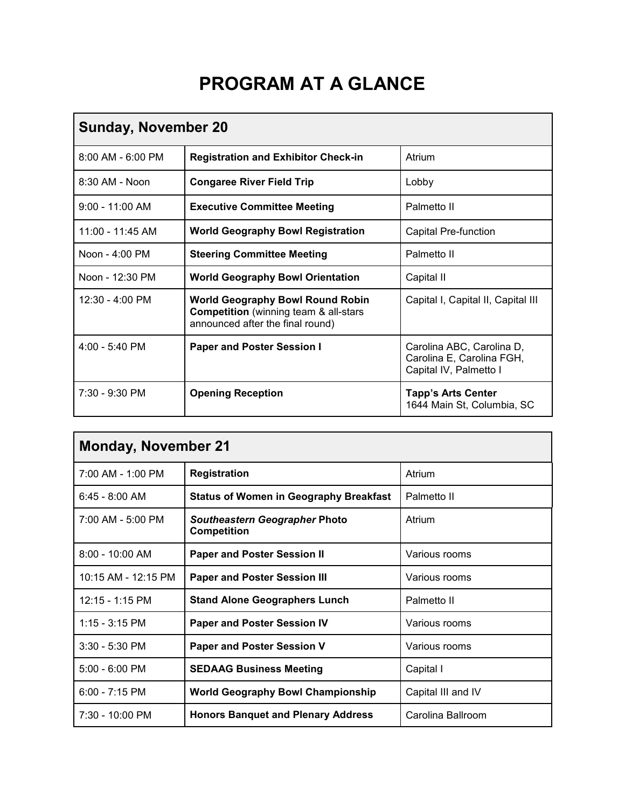# **PROGRAM AT A GLANCE**

| <b>Sunday, November 20</b> |                                                                                                                             |                                                                                  |  |  |
|----------------------------|-----------------------------------------------------------------------------------------------------------------------------|----------------------------------------------------------------------------------|--|--|
| $8:00$ AM - $6:00$ PM      | <b>Registration and Exhibitor Check-in</b>                                                                                  | Atrium                                                                           |  |  |
| 8:30 AM - Noon             | <b>Congaree River Field Trip</b>                                                                                            | Lobby                                                                            |  |  |
| $9:00 - 11:00$ AM          | <b>Executive Committee Meeting</b>                                                                                          | Palmetto II                                                                      |  |  |
| $11:00 - 11:45$ AM         | <b>World Geography Bowl Registration</b>                                                                                    | <b>Capital Pre-function</b>                                                      |  |  |
| Noon - 4:00 PM             | <b>Steering Committee Meeting</b>                                                                                           | Palmetto II                                                                      |  |  |
| Noon - 12:30 PM            | <b>World Geography Bowl Orientation</b>                                                                                     | Capital II                                                                       |  |  |
| $12:30 - 4:00$ PM          | <b>World Geography Bowl Round Robin</b><br><b>Competition</b> (winning team & all-stars<br>announced after the final round) | Capital I, Capital II, Capital III                                               |  |  |
| $4:00 - 5:40$ PM           | <b>Paper and Poster Session I</b>                                                                                           | Carolina ABC, Carolina D,<br>Carolina E, Carolina FGH,<br>Capital IV, Palmetto I |  |  |
| $7:30 - 9:30$ PM           | <b>Opening Reception</b>                                                                                                    | <b>Tapp's Arts Center</b><br>1644 Main St, Columbia, SC                          |  |  |

| <b>Monday, November 21</b> |                                                            |                              |  |  |
|----------------------------|------------------------------------------------------------|------------------------------|--|--|
| 7:00 AM - 1:00 PM          | <b>Registration</b>                                        | Atrium                       |  |  |
| $6:45 - 8:00$ AM           | <b>Status of Women in Geography Breakfast</b>              | Palmetto II                  |  |  |
| 7:00 AM - 5:00 PM          | <b>Southeastern Geographer Photo</b><br><b>Competition</b> | Atrium                       |  |  |
| 8:00 - 10:00 AM            | <b>Paper and Poster Session II</b>                         | Various rooms                |  |  |
| 10:15 AM - 12:15 PM        | <b>Paper and Poster Session III</b>                        | Various rooms                |  |  |
| $12:15 - 1:15 \text{ PM}$  | <b>Stand Alone Geographers Lunch</b>                       | Palmetto II<br>Various rooms |  |  |
| $1:15 - 3:15$ PM           | <b>Paper and Poster Session IV</b>                         |                              |  |  |
| $3:30 - 5:30$ PM           | <b>Paper and Poster Session V</b>                          | Various rooms                |  |  |
| $5:00 - 6:00$ PM           | <b>SEDAAG Business Meeting</b>                             | Capital I                    |  |  |
| $6:00 - 7:15$ PM           | <b>World Geography Bowl Championship</b>                   | Capital III and IV           |  |  |
| $7:30 - 10:00$ PM          | <b>Honors Banquet and Plenary Address</b>                  | Carolina Ballroom            |  |  |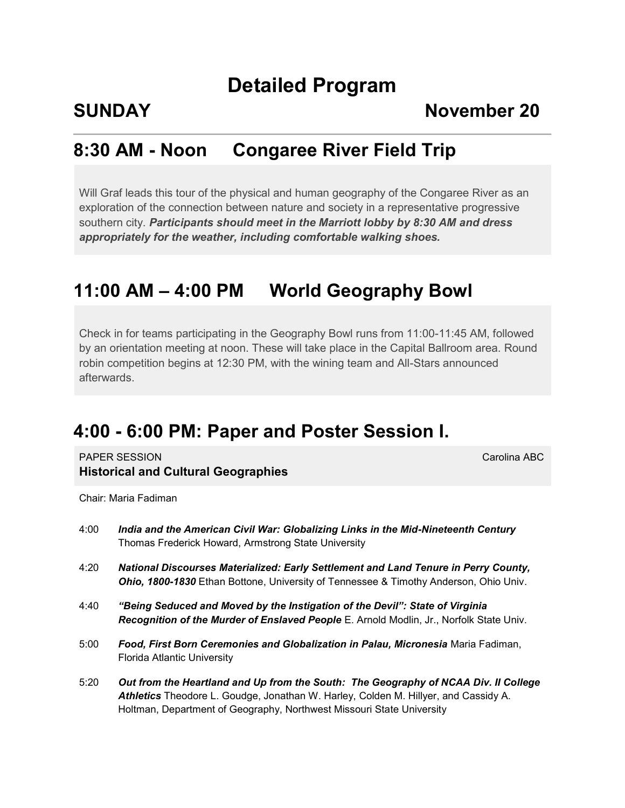# **Detailed Program**

### **SUNDAY** November 20

## **8:30 AM - Noon Congaree River Field Trip**

Will Graf leads this tour of the physical and human geography of the Congaree River as an exploration of the connection between nature and society in a representative progressive southern city. *Participants should meet in the Marriott lobby by 8:30 AM and dress appropriately for the weather, including comfortable walking shoes.*

### **11:00 AM – 4:00 PM World Geography Bowl**

Check in for teams participating in the Geography Bowl runs from 11:00-11:45 AM, followed by an orientation meeting at noon. These will take place in the Capital Ballroom area. Round robin competition begins at 12:30 PM, with the wining team and All-Stars announced afterwards.

## **4:00 - 6:00 PM: Paper and Poster Session I.**

**PAPER SESSION** Carolina ABC **Historical and Cultural Geographies**

Chair: Maria Fadiman

| 4:00 | India and the American Civil War: Globalizing Links in the Mid-Nineteenth Century<br>Thomas Frederick Howard, Armstrong State University                                                                                                            |
|------|-----------------------------------------------------------------------------------------------------------------------------------------------------------------------------------------------------------------------------------------------------|
| 4:20 | National Discourses Materialized: Early Settlement and Land Tenure in Perry County,<br>Ohio, 1800-1830 Ethan Bottone, University of Tennessee & Timothy Anderson, Ohio Univ.                                                                        |
| 4:40 | "Being Seduced and Moved by the Instigation of the Devil": State of Virginia<br>Recognition of the Murder of Enslaved People E. Arnold Modlin, Jr., Norfolk State Univ.                                                                             |
| 5:00 | Food, First Born Ceremonies and Globalization in Palau, Micronesia Maria Fadiman,<br>Florida Atlantic University                                                                                                                                    |
| 5:20 | Out from the Heartland and Up from the South: The Geography of NCAA Div. Il College<br>Athletics Theodore L. Goudge, Jonathan W. Harley, Colden M. Hillyer, and Cassidy A.<br>Holtman, Department of Geography, Northwest Missouri State University |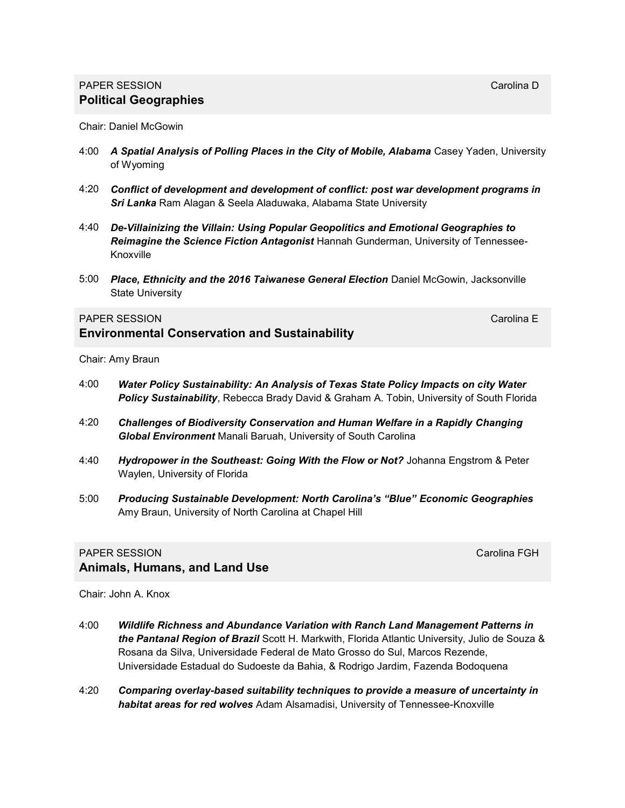### **PAPER SESSION** Carolina Decree and Carolina Decree and Carolina Decree and Carolina Decree and Carolina Decree and Carolina Decree and Carolina Decree and Carolina Decree and Carolina Decree and Carolina Decree and Caroli **Political Geographies**

Chair: Daniel McGowin

- 4:00 A Spatial Analysis of Polling Places in the City of Mobile, Alabama Casey Yaden, University of Wyoming
- 4:20 *Conflict of development and development of conflict: post war development programs in Sri Lanka* Ram Alagan & Seela Aladuwaka, Alabama State University
- 4:40 *De-Villainizing the Villain: Using Popular Geopolitics and Emotional Geographies to Reimagine the Science Fiction Antagonist* Hannah Gunderman, University of Tennessee-Knoxville
- 5:00 *Place, Ethnicity and the 2016 Taiwanese General Election* Daniel McGowin, Jacksonville State University

#### **PAPER SESSION** Carolina E

### **Environmental Conservation and Sustainability**

Chair: Amy Braun

- 4:00 *Water Policy Sustainability: An Analysis of Texas State Policy Impacts on city Water Policy Sustainability*, Rebecca Brady David & Graham A. Tobin, University of South Florida
- 4:20 *Challenges of Biodiversity Conservation and Human Welfare in a Rapidly Changing Global Environment* Manali Baruah, University of South Carolina
- 4:40 *Hydropower in the Southeast: Going With the Flow or Not?* Johanna Engstrom & Peter Waylen, University of Florida
- 5:00 *Producing Sustainable Development: North Carolina's "Blue" Economic Geographies*  Amy Braun, University of North Carolina at Chapel Hill

### PAPER SESSION CAROLINE CONTROL CAROLINE CAROLINE CAROLINE CAROLINE CAROLINE CAROLINE CAROLINE CAROLINE CAROLIN **Animals, Humans, and Land Use**

Chair: John A. Knox

- 4:00 *Wildlife Richness and Abundance Variation with Ranch Land Management Patterns in the Pantanal Region of Brazil* Scott H. Markwith, Florida Atlantic University, Julio de Souza & Rosana da Silva, Universidade Federal de Mato Grosso do Sul, Marcos Rezende, Universidade Estadual do Sudoeste da Bahia, & Rodrigo Jardim, Fazenda Bodoquena
- 4:20 *Comparing overlay-based suitability techniques to provide a measure of uncertainty in habitat areas for red wolves* Adam Alsamadisi, University of Tennessee-Knoxville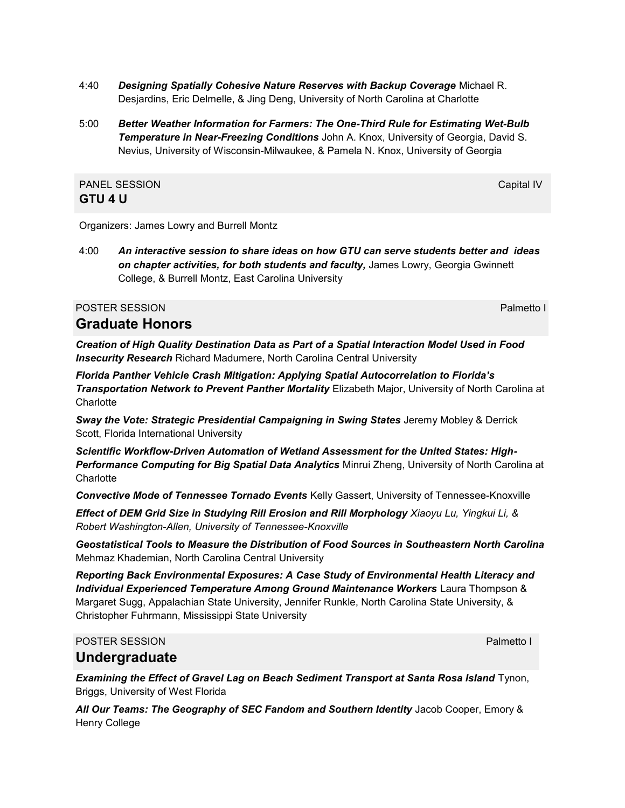- 4:40 *Designing Spatially Cohesive Nature Reserves with Backup Coverage* Michael R. Desjardins, Eric Delmelle, & Jing Deng, University of North Carolina at Charlotte
- 5:00 *Better Weather Information for Farmers: The One-Third Rule for Estimating Wet-Bulb*  **Temperature in Near-Freezing Conditions** John A. Knox, University of Georgia, David S. Nevius, University of Wisconsin-Milwaukee, & Pamela N. Knox, University of Georgia

### PANEL SESSION CAPITAL AND THE CAPITAL CAPITAL CAPITAL CAPITAL CAPITAL CAPITAL CAPITAL CAPITAL CAPITAL CAPITAL CAPITAL CAPITAL CAPITAL CAPITAL CAPITAL CAPITAL CAPITAL CAPITAL CAPITAL CAPITAL CAPITAL CAPITAL CAPITAL CAPITAL **GTU 4 U**

Organizers: James Lowry and Burrell Montz

4:00 *An interactive session to share ideas on how GTU can serve students better and ideas on chapter activities, for both students and faculty,* James Lowry, Georgia Gwinnett College, & Burrell Montz, East Carolina University

#### POSTER SESSION **POSTER SESSION**

### **Graduate Honors**

*Creation of High Quality Destination Data as Part of a Spatial Interaction Model Used in Food Insecurity Research* Richard Madumere, North Carolina Central University

*Florida Panther Vehicle Crash Mitigation: Applying Spatial Autocorrelation to Florida's Transportation Network to Prevent Panther Mortality* Elizabeth Major, University of North Carolina at **Charlotte** 

**Sway the Vote: Strategic Presidential Campaigning in Swing States Jeremy Mobley & Derrick** Scott, Florida International University

*Scientific Workflow-Driven Automation of Wetland Assessment for the United States: High-Performance Computing for Big Spatial Data Analytics* Minrui Zheng, University of North Carolina at **Charlotte** 

*Convective Mode of Tennessee Tornado Events* Kelly Gassert, University of Tennessee-Knoxville

*Effect of DEM Grid Size in Studying Rill Erosion and Rill Morphology Xiaoyu Lu, Yingkui Li, & Robert Washington-Allen, University of Tennessee-Knoxville*

*Geostatistical Tools to Measure the Distribution of Food Sources in Southeastern North Carolina*  Mehmaz Khademian, North Carolina Central University

*Reporting Back Environmental Exposures: A Case Study of Environmental Health Literacy and Individual Experienced Temperature Among Ground Maintenance Workers* Laura Thompson & Margaret Sugg, Appalachian State University, Jennifer Runkle, North Carolina State University, & Christopher Fuhrmann, Mississippi State University

### POSTER SESSION **POSTER SESSION**

### **Undergraduate**

*Examining the Effect of Gravel Lag on Beach Sediment Transport at Santa Rosa Island* Tynon, Briggs, University of West Florida

*All Our Teams: The Geography of SEC Fandom and Southern Identity* Jacob Cooper, Emory & Henry College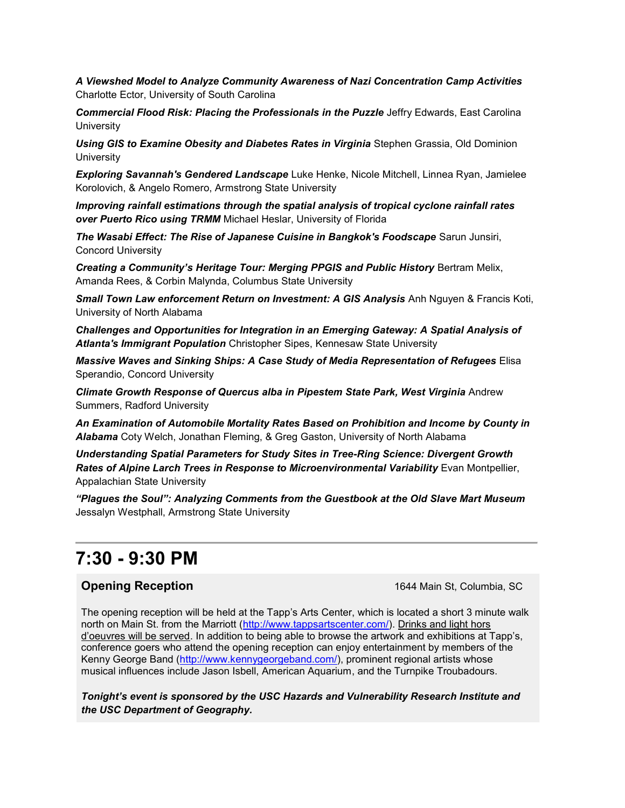*A Viewshed Model to Analyze Community Awareness of Nazi Concentration Camp Activities*  Charlotte Ector, University of South Carolina

*Commercial Flood Risk: Placing the Professionals in the Puzzle* Jeffry Edwards, East Carolina **University** 

*Using GIS to Examine Obesity and Diabetes Rates in Virginia* Stephen Grassia, Old Dominion **University** 

*Exploring Savannah's Gendered Landscape* Luke Henke, Nicole Mitchell, Linnea Ryan, Jamielee Korolovich, & Angelo Romero, Armstrong State University

*Improving rainfall estimations through the spatial analysis of tropical cyclone rainfall rates over Puerto Rico using TRMM* Michael Heslar, University of Florida

*The Wasabi Effect: The Rise of Japanese Cuisine in Bangkok's Foodscape* Sarun Junsiri, Concord University

*Creating a Community's Heritage Tour: Merging PPGIS and Public History* Bertram Melix, Amanda Rees, & Corbin Malynda, Columbus State University

*Small Town Law enforcement Return on Investment: A GIS Analysis* Anh Nguyen & Francis Koti, University of North Alabama

*Challenges and Opportunities for Integration in an Emerging Gateway: A Spatial Analysis of Atlanta's Immigrant Population* Christopher Sipes, Kennesaw State University

*Massive Waves and Sinking Ships: A Case Study of Media Representation of Refugees* Elisa Sperandio, Concord University

*Climate Growth Response of Quercus alba in Pipestem State Park, West Virginia* Andrew Summers, Radford University

*An Examination of Automobile Mortality Rates Based on Prohibition and Income by County in Alabama* Coty Welch, Jonathan Fleming, & Greg Gaston, University of North Alabama

*Understanding Spatial Parameters for Study Sites in Tree-Ring Science: Divergent Growth Rates of Alpine Larch Trees in Response to Microenvironmental Variability* Evan Montpellier, Appalachian State University

*"Plagues the Soul": Analyzing Comments from the Guestbook at the Old Slave Mart Museum*  Jessalyn Westphall, Armstrong State University

## **7:30 - 9:30 PM**

### **Opening Reception** 1644 Main St, Columbia, SC

The opening reception will be held at the Tapp's Arts Center, which is located a short 3 minute walk north on Main St. from the Marriott [\(http://www.tappsartscenter.com/\)](http://www.tappsartscenter.com/). Drinks and light hors d'oeuvres will be served. In addition to being able to browse the artwork and exhibitions at Tapp's, conference goers who attend the opening reception can enjoy entertainment by members of the Kenny George Band [\(http://www.kennygeorgeband.com/\)](http://www.kennygeorgeband.com/), prominent regional artists whose musical influences include Jason Isbell, American Aquarium, and the Turnpike Troubadours.

*Tonight's event is sponsored by the USC Hazards and Vulnerability Research Institute and the USC Department of Geography.*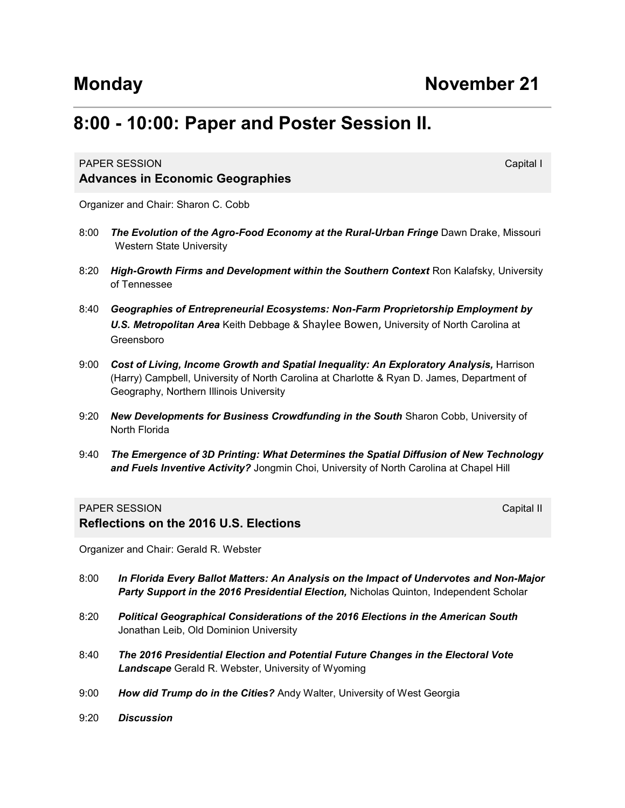# **8:00 - 10:00: Paper and Poster Session II.**

### **PAPER SESSION** Capital International Capital International Capital International Capital International Capital I **Advances in Economic Geographies**

Organizer and Chair: Sharon C. Cobb

- 8:00 The Evolution of the Agro-Food Economy at the Rural-Urban Fringe Dawn Drake, Missouri Western State University
- 8:20 **High-Growth Firms and Development within the Southern Context Ron Kalafsky, University** of Tennessee
- 8:40 *Geographies of Entrepreneurial Ecosystems: Non-Farm Proprietorship Employment by U.S. Metropolitan Area* Keith Debbage & Shaylee Bowen, University of North Carolina at Greensboro
- 9:00 Cost of Living, Income Growth and Spatial Inequality: An Exploratory Analysis, Harrison (Harry) Campbell, University of North Carolina at Charlotte & Ryan D. James, Department of Geography, Northern Illinois University
- 9:20 *New Developments for Business Crowdfunding in the South* Sharon Cobb, University of North Florida
- 9:40 *The Emergence of 3D Printing: What Determines the Spatial Diffusion of New Technology and Fuels Inventive Activity?* Jongmin Choi, University of North Carolina at Chapel Hill

#### PAPER SESSION **Capital III** CONTROL CONTROL INTERNATIONAL CAPITAL CAPITAL CAPITAL CAPITAL CAPITAL CAPITAL CAPITAL CAPITAL CAPITAL CAPITAL CAPITAL CAPITAL CAPITAL CAPITAL CAPITAL CAPITAL CAPITAL CAPITAL CAPITAL CAPITAL CAPI

**Reflections on the 2016 U.S. Elections**

Organizer and Chair: Gerald R. Webster

- 8:00 *In Florida Every Ballot Matters: An Analysis on the Impact of Undervotes and Non-Major Party Support in the 2016 Presidential Election,* Nicholas Quinton, Independent Scholar
- 8:20 *Political Geographical Considerations of the 2016 Elections in the American South* Jonathan Leib, Old Dominion University
- 8:40 *The 2016 Presidential Election and Potential Future Changes in the Electoral Vote Landscape* Gerald R. Webster, University of Wyoming
- 9:00 *How did Trump do in the Cities?* Andy Walter, University of West Georgia
- 9:20 *Discussion*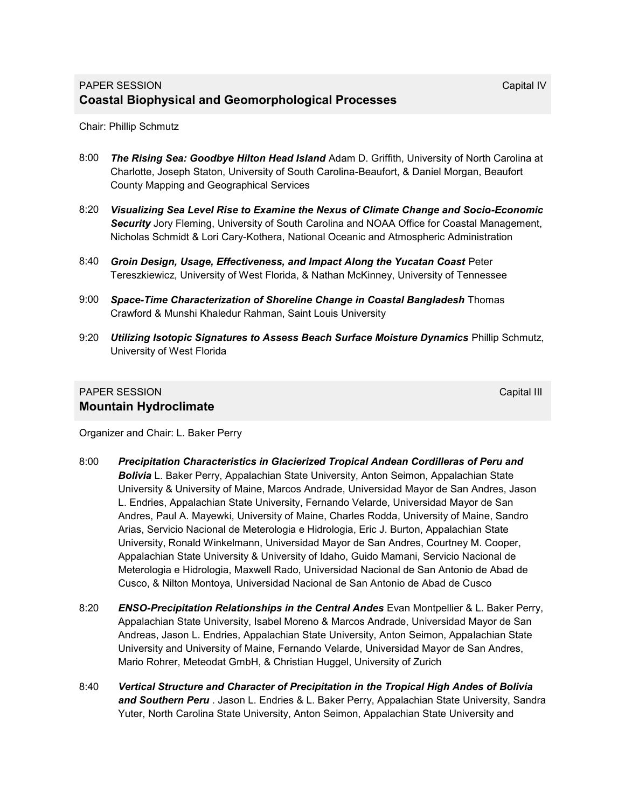Chair: Phillip Schmutz

- 8:00 *The Rising Sea: Goodbye Hilton Head Island* Adam D. Griffith, University of North Carolina at Charlotte, Joseph Staton, University of South Carolina-Beaufort, & Daniel Morgan, Beaufort County Mapping and Geographical Services
- 8:20 *Visualizing Sea Level Rise to Examine the Nexus of Climate Change and Socio-Economic Security* Jory Fleming, University of South Carolina and NOAA Office for Coastal Management, Nicholas Schmidt & Lori Cary-Kothera, National Oceanic and Atmospheric Administration
- 8:40 **Groin Design, Usage, Effectiveness, and Impact Along the Yucatan Coast Peter** Tereszkiewicz, University of West Florida, & Nathan McKinney, University of Tennessee
- 9:00 *Space-Time Characterization of Shoreline Change in Coastal Bangladesh* Thomas Crawford & Munshi Khaledur Rahman, Saint Louis University
- 9:20 *Utilizing Isotopic Signatures to Assess Beach Surface Moisture Dynamics* Phillip Schmutz, University of West Florida

### PAPER SESSION **Capital III** Capital III Capital III Capital III Capital III Capital III **Mountain Hydroclimate**

Organizer and Chair: L. Baker Perry

- 8:00 *Precipitation Characteristics in Glacierized Tropical Andean Cordilleras of Peru and Bolivia* L. Baker Perry, Appalachian State University, Anton Seimon, Appalachian State University & University of Maine, Marcos Andrade, Universidad Mayor de San Andres, Jason L. Endries, Appalachian State University, Fernando Velarde, Universidad Mayor de San Andres, Paul A. Mayewki, University of Maine, Charles Rodda, University of Maine, Sandro Arias, Servicio Nacional de Meterologia e Hidrologia, Eric J. Burton, Appalachian State University, Ronald Winkelmann, Universidad Mayor de San Andres, Courtney M. Cooper, Appalachian State University & University of Idaho, Guido Mamani, Servicio Nacional de Meterologia e Hidrologia, Maxwell Rado, Universidad Nacional de San Antonio de Abad de Cusco, & Nilton Montoya, Universidad Nacional de San Antonio de Abad de Cusco
- 8:20 *ENSO-Precipitation Relationships in the Central Andes* Evan Montpellier & L. Baker Perry, Appalachian State University, Isabel Moreno & Marcos Andrade, Universidad Mayor de San Andreas, Jason L. Endries, Appalachian State University, Anton Seimon, Appalachian State University and University of Maine, Fernando Velarde, Universidad Mayor de San Andres, Mario Rohrer, Meteodat GmbH, & Christian Huggel, University of Zurich
- 8:40 *Vertical Structure and Character of Precipitation in the Tropical High Andes of Bolivia and Southern Peru* . Jason L. Endries & L. Baker Perry, Appalachian State University, Sandra Yuter, North Carolina State University, Anton Seimon, Appalachian State University and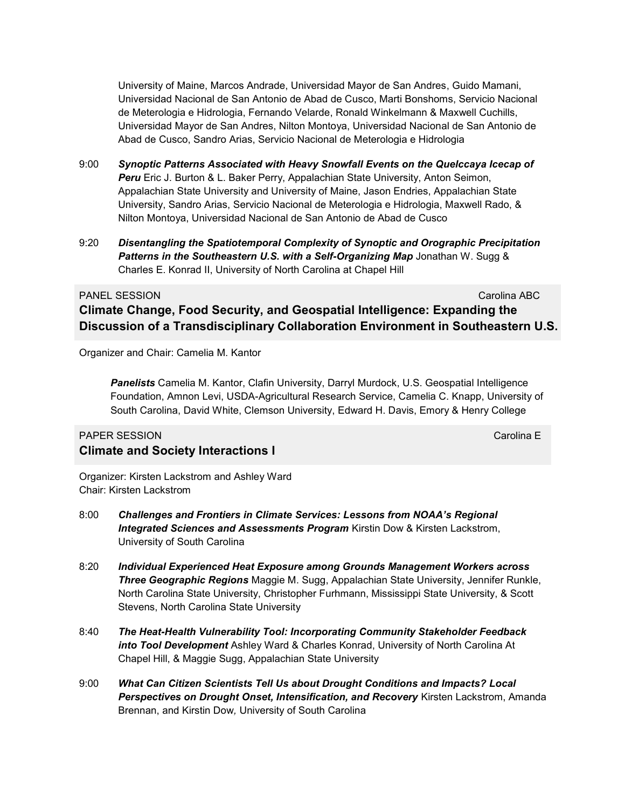University of Maine, Marcos Andrade, Universidad Mayor de San Andres, Guido Mamani, Universidad Nacional de San Antonio de Abad de Cusco, Marti Bonshoms, Servicio Nacional de Meterologia e Hidrologia, Fernando Velarde, Ronald Winkelmann & Maxwell Cuchills, Universidad Mayor de San Andres, Nilton Montoya, Universidad Nacional de San Antonio de Abad de Cusco, Sandro Arias, Servicio Nacional de Meterologia e Hidrologia

- 9:00 *Synoptic Patterns Associated with Heavy Snowfall Events on the Quelccaya Icecap of Peru* Eric J. Burton & L. Baker Perry, Appalachian State University, Anton Seimon, Appalachian State University and University of Maine, Jason Endries, Appalachian State University, Sandro Arias, Servicio Nacional de Meterologia e Hidrologia, Maxwell Rado, & Nilton Montoya, Universidad Nacional de San Antonio de Abad de Cusco
- 9:20 *Disentangling the Spatiotemporal Complexity of Synoptic and Orographic Precipitation Patterns in the Southeastern U.S. with a Self-Organizing Map* Jonathan W. Sugg & Charles E. Konrad II, University of North Carolina at Chapel Hill

#### PANEL SESSION Carolina ABC

### **Climate Change, Food Security, and Geospatial Intelligence: Expanding the Discussion of a Transdisciplinary Collaboration Environment in Southeastern U.S.**

Organizer and Chair: Camelia M. Kantor

*Panelists* Camelia M. Kantor, Clafin University, Darryl Murdock, U.S. Geospatial Intelligence Foundation, Amnon Levi, USDA-Agricultural Research Service, Camelia C. Knapp, University of South Carolina, David White, Clemson University, Edward H. Davis, Emory & Henry College

### PAPER SESSION Carolina E **Climate and Society Interactions I**

Organizer: Kirsten Lackstrom and Ashley Ward Chair: Kirsten Lackstrom

- 8:00 *Challenges and Frontiers in Climate Services: Lessons from NOAA's Regional Integrated Sciences and Assessments Program* Kirstin Dow & Kirsten Lackstrom, University of South Carolina
- 8:20 *Individual Experienced Heat Exposure among Grounds Management Workers across Three Geographic Regions* Maggie M. Sugg, Appalachian State University, Jennifer Runkle, North Carolina State University, Christopher Furhmann, Mississippi State University, & Scott Stevens, North Carolina State University
- 8:40 *The Heat-Health Vulnerability Tool: Incorporating Community Stakeholder Feedback into Tool Development* Ashley Ward & Charles Konrad, University of North Carolina At Chapel Hill, & Maggie Sugg, Appalachian State University
- 9:00 *What Can Citizen Scientists Tell Us about Drought Conditions and Impacts? Local Perspectives on Drought Onset, Intensification, and Recovery* Kirsten Lackstrom, Amanda Brennan, and Kirstin Dow*,* University of South Carolina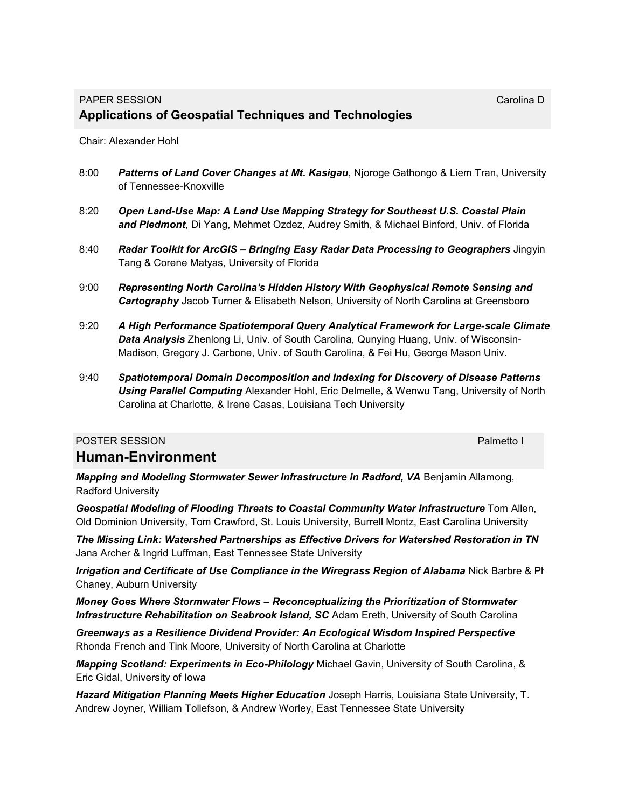Chair: Alexander Hohl

- 8:00 *Patterns of Land Cover Changes at Mt. Kasigau*, Njoroge Gathongo & Liem Tran, University of Tennessee-Knoxville
- 8:20 *Open Land-Use Map: A Land Use Mapping Strategy for Southeast U.S. Coastal Plain and Piedmont*, Di Yang, Mehmet Ozdez, Audrey Smith, & Michael Binford, Univ. of Florida
- 8:40 *Radar Toolkit for ArcGIS – Bringing Easy Radar Data Processing to Geographers* Jingyin Tang & Corene Matyas, University of Florida
- 9:00 *Representing North Carolina's Hidden History With Geophysical Remote Sensing and Cartography* Jacob Turner & Elisabeth Nelson, University of North Carolina at Greensboro
- 9:20 *A High Performance Spatiotemporal Query Analytical Framework for Large-scale Climate Data Analysis* Zhenlong Li, Univ. of South Carolina, Qunying Huang, Univ. of Wisconsin-Madison, Gregory J. Carbone, Univ. of South Carolina, & Fei Hu, George Mason Univ.
- 9:40 *Spatiotemporal Domain Decomposition and Indexing for Discovery of Disease Patterns Using Parallel Computing* Alexander Hohl, Eric Delmelle, & Wenwu Tang, University of North Carolina at Charlotte, & Irene Casas, Louisiana Tech University

### POSTER SESSION **POSTER SESSION Human-Environment**

*Mapping and Modeling Stormwater Sewer Infrastructure in Radford, VA* Benjamin Allamong, Radford University

*Geospatial Modeling of Flooding Threats to Coastal Community Water Infrastructure* Tom Allen, Old Dominion University, Tom Crawford, St. Louis University, Burrell Montz, East Carolina University

*The Missing Link: Watershed Partnerships as Effective Drivers for Watershed Restoration in TN* Jana Archer & Ingrid Luffman, East Tennessee State University

*Irrigation and Certificate of Use Compliance in the Wiregrass Region of Alabama Nick Barbre & Phillang* Chaney, Auburn University

*Money Goes Where Stormwater Flows – Reconceptualizing the Prioritization of Stormwater Infrastructure Rehabilitation on Seabrook Island, SC* Adam Ereth, University of South Carolina

*Greenways as a Resilience Dividend Provider: An Ecological Wisdom Inspired Perspective* Rhonda French and Tink Moore, University of North Carolina at Charlotte

*Mapping Scotland: Experiments in Eco-Philology* Michael Gavin, University of South Carolina, & Eric Gidal, University of Iowa

*Hazard Mitigation Planning Meets Higher Education* Joseph Harris, Louisiana State University, T. Andrew Joyner, William Tollefson, & Andrew Worley, East Tennessee State University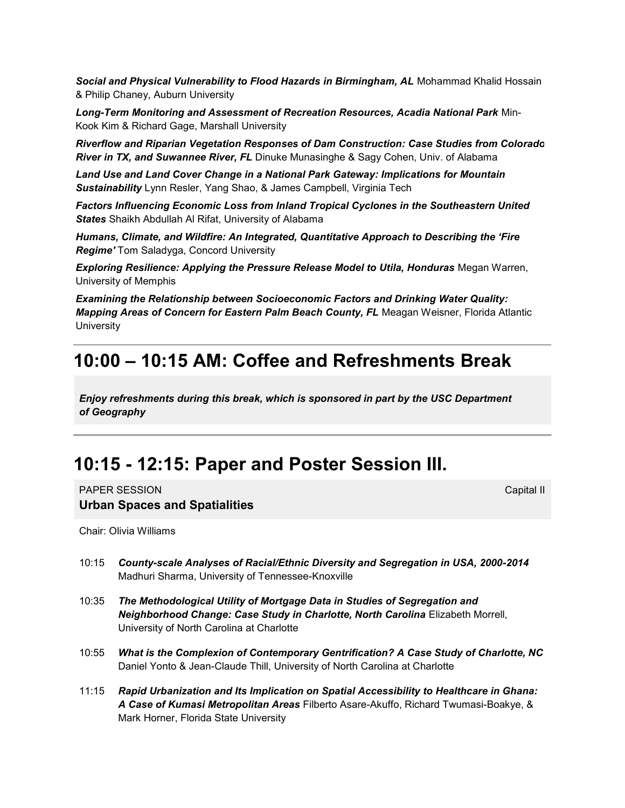*Social and Physical Vulnerability to Flood Hazards in Birmingham, AL* Mohammad Khalid Hossain & Philip Chaney, Auburn University

*Long-Term Monitoring and Assessment of Recreation Resources, Acadia National Park* Min-Kook Kim & Richard Gage, Marshall University

*Riverflow and Riparian Vegetation Responses of Dam Construction: Case Studies from Colorado River in TX, and Suwannee River, FL* Dinuke Munasinghe & Sagy Cohen, Univ. of Alabama

*Land Use and Land Cover Change in a National Park Gateway: Implications for Mountain Sustainability* Lynn Resler, Yang Shao, & James Campbell, Virginia Tech

*Factors Influencing Economic Loss from Inland Tropical Cyclones in the Southeastern United States* Shaikh Abdullah Al Rifat, University of Alabama

*Humans, Climate, and Wildfire: An Integrated, Quantitative Approach to Describing the 'Fire Regime'* Tom Saladyga, Concord University

*Exploring Resilience: Applying the Pressure Release Model to Utila, Honduras* Megan Warren, University of Memphis

*Examining the Relationship between Socioeconomic Factors and Drinking Water Quality: Mapping Areas of Concern for Eastern Palm Beach County, FL* Meagan Weisner, Florida Atlantic **University** 

### **10:00 – 10:15 AM: Coffee and Refreshments Break**

*Enjoy refreshments during this break, which is sponsored in part by the USC Department of Geography*

### **10:15 - 12:15: Paper and Poster Session III.**

**PAPER SESSION** Capital III Capital III Capital III Capital III Capital III Capital III Capital III Capital III **Urban Spaces and Spatialities**

Chair: Olivia Williams

- 10:15 *County-scale Analyses of Racial/Ethnic Diversity and Segregation in USA, 2000-2014*  Madhuri Sharma, University of Tennessee-Knoxville
- 10:35 *The Methodological Utility of Mortgage Data in Studies of Segregation and Neighborhood Change: Case Study in Charlotte, North Carolina* Elizabeth Morrell, University of North Carolina at Charlotte
- 10:55 *What is the Complexion of Contemporary Gentrification? A Case Study of Charlotte, NC*  Daniel Yonto & Jean-Claude Thill, University of North Carolina at Charlotte
- 11:15 *Rapid Urbanization and Its Implication on Spatial Accessibility to Healthcare in Ghana: A Case of Kumasi Metropolitan Areas* Filberto Asare-Akuffo, Richard Twumasi-Boakye, & Mark Horner, Florida State University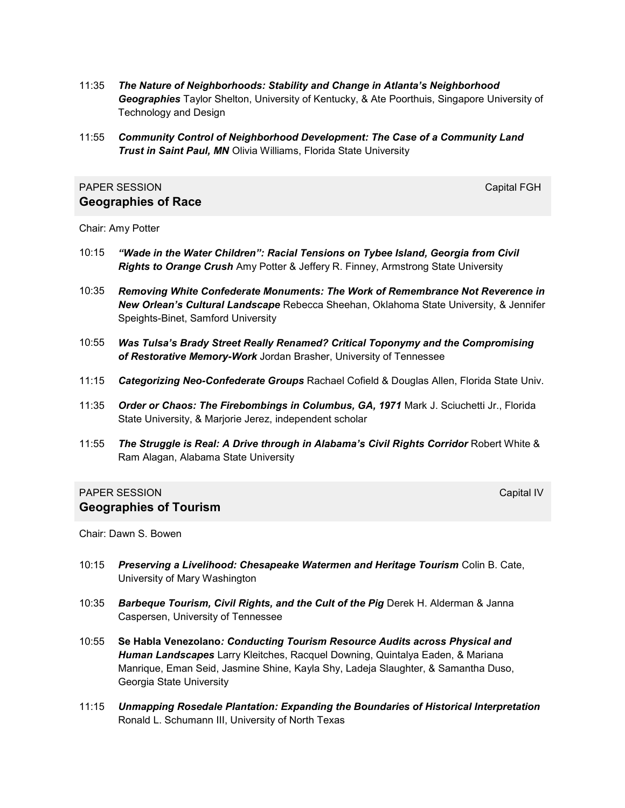- 11:35 *The Nature of Neighborhoods: Stability and Change in Atlanta's Neighborhood Geographies* Taylor Shelton, University of Kentucky, & Ate Poorthuis, Singapore University of Technology and Design
- 11:55 *Community Control of Neighborhood Development: The Case of a Community Land Trust in Saint Paul, MN* Olivia Williams, Florida State University

### PAPER SESSION CAPITAL CONTROL CONTROL CONTROL CAPITAL CAPITAL CAPITAL CAPITAL CAPITAL CAPITAL CAPITAL CAPITAL CAPITAL CAPITAL CAPITAL CAPITAL CAPITAL CAPITAL CAPITAL CAPITAL CAPITAL CAPITAL CAPITAL CAPITAL CAPITAL CAPITAL **Geographies of Race**

Chair: Amy Potter

- 10:15 *"Wade in the Water Children": Racial Tensions on Tybee Island, Georgia from Civil Rights to Orange Crush* Amy Potter & Jeffery R. Finney, Armstrong State University
- 10:35 *Removing White Confederate Monuments: The Work of Remembrance Not Reverence in New Orlean's Cultural Landscape* Rebecca Sheehan, Oklahoma State University, & Jennifer Speights-Binet, Samford University
- 10:55 *Was Tulsa's Brady Street Really Renamed? Critical Toponymy and the Compromising of Restorative Memory-Work* Jordan Brasher, University of Tennessee
- 11:15 *Categorizing Neo-Confederate Groups* Rachael Cofield & Douglas Allen, Florida State Univ.
- 11:35 *Order or Chaos: The Firebombings in Columbus, GA, 1971* Mark J. Sciuchetti Jr., Florida State University, & Marjorie Jerez, independent scholar
- 11:55 *The Struggle is Real: A Drive through in Alabama's Civil Rights Corridor* Robert White & Ram Alagan, Alabama State University

### PAPER SESSION CAPITAL CONTROL CONTROL CONTROL CONTROL CONTROL CAPITAL CONTROL CONTROL CONTROL CONTROL CONTROL CONTROL CONTROL CONTROL CONTROL CONTROL CONTROL CONTROL CONTROL CONTROL CONTROL CONTROL CONTROL CONTROL CONTROL **Geographies of Tourism**

Chair: Dawn S. Bowen

- 10:15 *Preserving a Livelihood: Chesapeake Watermen and Heritage Tourism* Colin B. Cate, University of Mary Washington
- 10:35 *Barbeque Tourism, Civil Rights, and the Cult of the Pig* Derek H. Alderman & Janna Caspersen, University of Tennessee
- 10:55 **Se Habla Venezolano***: Conducting Tourism Resource Audits across Physical and Human Landscapes* Larry Kleitches, Racquel Downing, Quintalya Eaden, & Mariana Manrique, Eman Seid, Jasmine Shine, Kayla Shy, Ladeja Slaughter, & Samantha Duso, Georgia State University
- 11:15 *Unmapping Rosedale Plantation: Expanding the Boundaries of Historical Interpretation* Ronald L. Schumann III, University of North Texas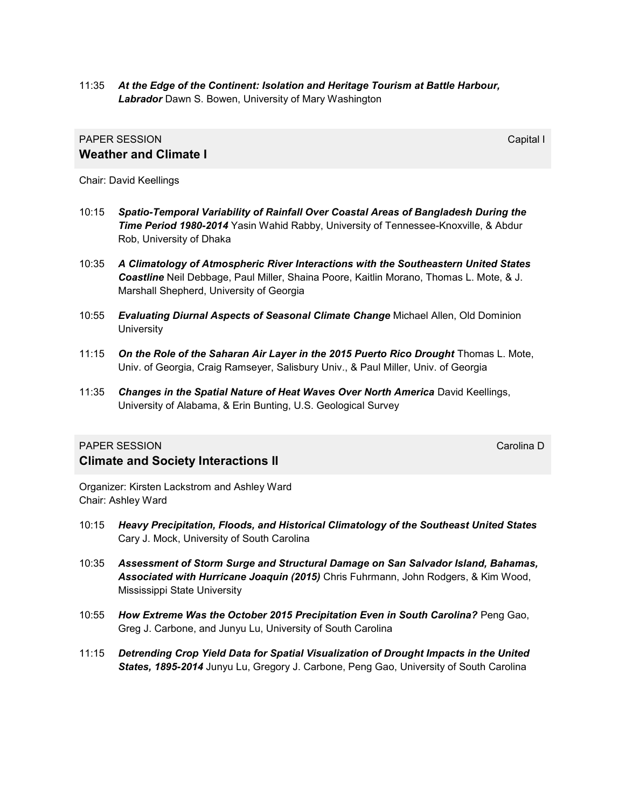11:35 *At the Edge of the Continent: Isolation and Heritage Tourism at Battle Harbour, Labrador* Dawn S. Bowen, University of Mary Washington

### **PAPER SESSION** Capital International Capital International Capital International Capital International Capital I **Weather and Climate I**

Chair: David Keellings

- 10:15 *Spatio-Temporal Variability of Rainfall Over Coastal Areas of Bangladesh During the Time Period 1980-2014* Yasin Wahid Rabby, University of Tennessee-Knoxville, & Abdur Rob, University of Dhaka
- 10:35 *A Climatology of Atmospheric River Interactions with the Southeastern United States Coastline* Neil Debbage, Paul Miller, Shaina Poore, Kaitlin Morano, Thomas L. Mote, & J. Marshall Shepherd, University of Georgia
- 10:55 *Evaluating Diurnal Aspects of Seasonal Climate Change* Michael Allen, Old Dominion **University**
- 11:15 On the Role of the Saharan Air Layer in the 2015 Puerto Rico Drought Thomas L. Mote, Univ. of Georgia, Craig Ramseyer, Salisbury Univ., & Paul Miller, Univ. of Georgia
- 11:35 Changes in the Spatial Nature of Heat Waves Over North America David Keellings, University of Alabama, & Erin Bunting, U.S. Geological Survey

### **PAPER SESSION** Carolina D **Climate and Society Interactions II**

Organizer: Kirsten Lackstrom and Ashley Ward Chair: Ashley Ward

- 10:15 *Heavy Precipitation, Floods, and Historical Climatology of the Southeast United States* Cary J. Mock, University of South Carolina
- 10:35 *Assessment of Storm Surge and Structural Damage on San Salvador Island, Bahamas, Associated with Hurricane Joaquin (2015)* Chris Fuhrmann, John Rodgers, & Kim Wood, Mississippi State University
- 10:55 *How Extreme Was the October 2015 Precipitation Even in South Carolina?* Peng Gao, Greg J. Carbone, and Junyu Lu, University of South Carolina
- 11:15 *Detrending Crop Yield Data for Spatial Visualization of Drought Impacts in the United States, 1895-2014* Junyu Lu, Gregory J. Carbone, Peng Gao, University of South Carolina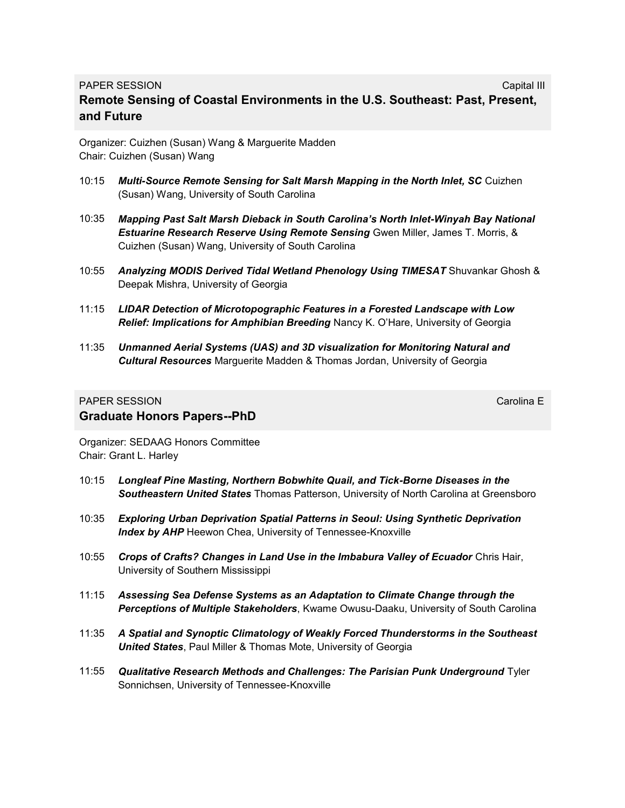### PAPER SESSION CAPITAL CONTROL CONTROL CONTROL CONTROL CONTROL CAPITAL CONTROL CAPITAL CONTROL CONTROL CONTROL CONTROL CONTROL CONTROL CONTROL CONTROL CONTROL CONTROL CONTROL CONTROL CONTROL CONTROL CONTROL CONTROL CONTROL **Remote Sensing of Coastal Environments in the U.S. Southeast: Past, Present, and Future**

Organizer: Cuizhen (Susan) Wang & Marguerite Madden Chair: Cuizhen (Susan) Wang

- 10:15 *Multi-Source Remote Sensing for Salt Marsh Mapping in the North Inlet, SC* Cuizhen (Susan) Wang, University of South Carolina
- 10:35 *Mapping Past Salt Marsh Dieback in South Carolina's North Inlet-Winyah Bay National Estuarine Research Reserve Using Remote Sensing* Gwen Miller, James T. Morris, & Cuizhen (Susan) Wang, University of South Carolina
- 10:55 *Analyzing MODIS Derived Tidal Wetland Phenology Using TIMESAT* Shuvankar Ghosh & Deepak Mishra, University of Georgia
- 11:15 *LIDAR Detection of Microtopographic Features in a Forested Landscape with Low Relief: Implications for Amphibian Breeding* Nancy K. O'Hare, University of Georgia
- 11:35 *Unmanned Aerial Systems (UAS) and 3D visualization for Monitoring Natural and Cultural Resources* Marguerite Madden & Thomas Jordan, University of Georgia

### **PAPER SESSION** Carolina E **Graduate Honors Papers--PhD**

Organizer: SEDAAG Honors Committee Chair: Grant L. Harley

- 10:15 *Longleaf Pine Masting, Northern Bobwhite Quail, and Tick-Borne Diseases in the Southeastern United States* Thomas Patterson, University of North Carolina at Greensboro
- 10:35 *Exploring Urban Deprivation Spatial Patterns in Seoul: Using Synthetic Deprivation*  **Index by AHP** Heewon Chea, University of Tennessee-Knoxville
- 10:55 *Crops of Crafts? Changes in Land Use in the Imbabura Valley of Ecuador* Chris Hair, University of Southern Mississippi
- 11:15 *Assessing Sea Defense Systems as an Adaptation to Climate Change through the Perceptions of Multiple Stakeholders*, Kwame Owusu-Daaku, University of South Carolina
- 11:35 *A Spatial and Synoptic Climatology of Weakly Forced Thunderstorms in the Southeast United States*, Paul Miller & Thomas Mote, University of Georgia
- 11:55 *Qualitative Research Methods and Challenges: The Parisian Punk Underground* Tyler Sonnichsen, University of Tennessee-Knoxville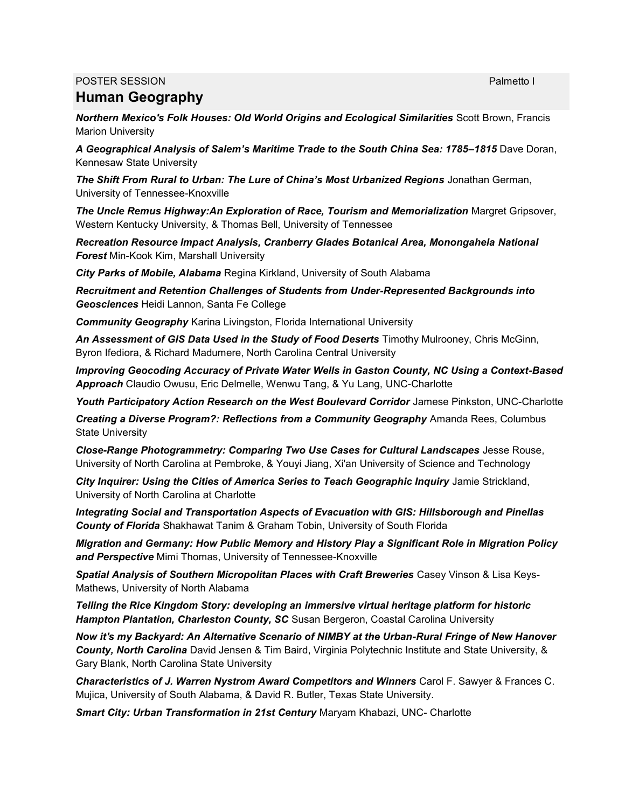### POSTER SESSION **POSTER SESSION**

### **Human Geography**

*Northern Mexico's Folk Houses: Old World Origins and Ecological Similarities* Scott Brown, Francis Marion University

*A Geographical Analysis of Salem's Maritime Trade to the South China Sea: 1785–1815* Dave Doran, Kennesaw State University

*The Shift From Rural to Urban: The Lure of China's Most Urbanized Regions* Jonathan German, University of Tennessee-Knoxville

*The Uncle Remus Highway:An Exploration of Race, Tourism and Memorialization* Margret Gripsover, Western Kentucky University, & Thomas Bell, University of Tennessee

*Recreation Resource Impact Analysis, Cranberry Glades Botanical Area, Monongahela National Forest* Min-Kook Kim, Marshall University

*City Parks of Mobile, Alabama* Regina Kirkland, University of South Alabama

*Recruitment and Retention Challenges of Students from Under-Represented Backgrounds into Geosciences* Heidi Lannon, Santa Fe College

*Community Geography* Karina Livingston, Florida International University

*An Assessment of GIS Data Used in the Study of Food Deserts* Timothy Mulrooney, Chris McGinn, Byron Ifediora, & Richard Madumere, North Carolina Central University

*Improving Geocoding Accuracy of Private Water Wells in Gaston County, NC Using a Context-Based Approach* Claudio Owusu, Eric Delmelle, Wenwu Tang, & Yu Lang, UNC-Charlotte

Youth Participatory Action Research on the West Boulevard Corridor Jamese Pinkston, UNC-Charlotte

*Creating a Diverse Program?: Reflections from a Community Geography* Amanda Rees, Columbus State University

*Close-Range Photogrammetry: Comparing Two Use Cases for Cultural Landscapes* Jesse Rouse, University of North Carolina at Pembroke, & Youyi Jiang, Xi'an University of Science and Technology

*City Inquirer: Using the Cities of America Series to Teach Geographic Inquiry* Jamie Strickland, University of North Carolina at Charlotte

*Integrating Social and Transportation Aspects of Evacuation with GIS: Hillsborough and Pinellas County of Florida* Shakhawat Tanim & Graham Tobin, University of South Florida

*Migration and Germany: How Public Memory and History Play a Significant Role in Migration Policy and Perspective* Mimi Thomas, University of Tennessee-Knoxville

*Spatial Analysis of Southern Micropolitan Places with Craft Breweries* Casey Vinson & Lisa Keys-Mathews, University of North Alabama

*Telling the Rice Kingdom Story: developing an immersive virtual heritage platform for historic Hampton Plantation, Charleston County, SC* Susan Bergeron, Coastal Carolina University

*Now it's my Backyard: An Alternative Scenario of NIMBY at the Urban-Rural Fringe of New Hanover County, North Carolina* David Jensen & Tim Baird, Virginia Polytechnic Institute and State University, & Gary Blank, North Carolina State University

*Characteristics of J. Warren Nystrom Award Competitors and Winners* Carol F. Sawyer & Frances C. Mujica, University of South Alabama, & David R. Butler, Texas State University.

*Smart City: Urban Transformation in 21st Century* Maryam Khabazi, UNC- Charlotte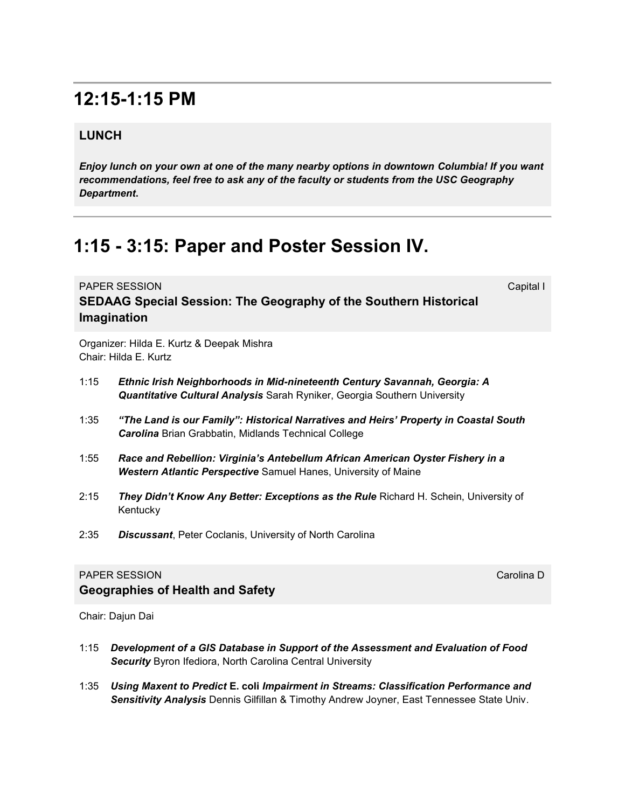# **12:15-1:15 PM**

### **LUNCH**

*Enjoy lunch on your own at one of the many nearby options in downtown Columbia! If you want recommendations, feel free to ask any of the faculty or students from the USC Geography Department***.** 

# **1:15 - 3:15: Paper and Poster Session IV.**

**PAPER SESSION** Capital International Capital International Capital International Capital International Capital I **SEDAAG Special Session: The Geography of the Southern Historical Imagination**

Organizer: Hilda E. Kurtz & Deepak Mishra Chair: Hilda E. Kurtz

**Geographies of Health and Safety** 

- 1:15 *Ethnic Irish Neighborhoods in Mid-nineteenth Century Savannah, Georgia: A Quantitative Cultural Analysis* Sarah Ryniker, Georgia Southern University
- 1:35 *"The Land is our Family": Historical Narratives and Heirs' Property in Coastal South Carolina* Brian Grabbatin, Midlands Technical College
- 1:55 *Race and Rebellion: Virginia's Antebellum African American Oyster Fishery in a Western Atlantic Perspective* Samuel Hanes, University of Maine
- 2:15 *They Didn't Know Any Better: Exceptions as the Rule* Richard H. Schein, University of Kentucky
- 2:35 *Discussant*, Peter Coclanis, University of North Carolina

#### **PAPER SESSION** Carolina D

Chair: Dajun Dai

- 1:15 *Development of a GIS Database in Support of the Assessment and Evaluation of Food Security* Byron Ifediora, North Carolina Central University
- 1:35 *Using Maxent to Predict* **E. coli** *Impairment in Streams: Classification Performance and Sensitivity Analysis* Dennis Gilfillan & Timothy Andrew Joyner, East Tennessee State Univ.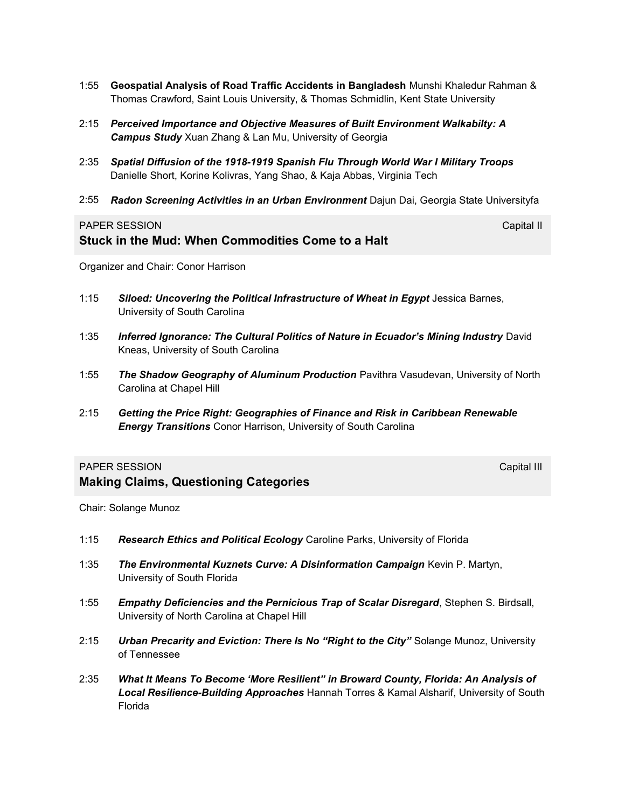- 1:55 **Geospatial Analysis of Road Traffic Accidents in Bangladesh** Munshi Khaledur Rahman & Thomas Crawford, Saint Louis University, & Thomas Schmidlin, Kent State University
- 2:15 *Perceived Importance and Objective Measures of Built Environment Walkabilty: A Campus Study* Xuan Zhang & Lan Mu, University of Georgia
- 2:35 *Spatial Diffusion of the 1918-1919 Spanish Flu Through World War I Military Troops* Danielle Short, Korine Kolivras, Yang Shao, & Kaja Abbas, Virginia Tech
- 2:55 *Radon Screening Activities in an Urban Environment* Dajun Dai, Georgia State Universityfa

### PAPER SESSION Capital III Capital III Capital III Capital III Capital III Capital III Capital III Capital III Capital III Capital III Capital III Capital III Capital III Capital III Capital III Capital III Capital III Capi **Stuck in the Mud: When Commodities Come to a Halt**

Organizer and Chair: Conor Harrison

- 1:15 *Siloed: Uncovering the Political Infrastructure of Wheat in Egypt* Jessica Barnes, University of South Carolina
- 1:35 *Inferred Ignorance: The Cultural Politics of Nature in Ecuador's Mining Industry* David Kneas, University of South Carolina
- 1:55 *The Shadow Geography of Aluminum Production* Pavithra Vasudevan, University of North Carolina at Chapel Hill
- 2:15 *Getting the Price Right: Geographies of Finance and Risk in Caribbean Renewable Energy Transitions* Conor Harrison, University of South Carolina

#### PAPER SESSION CAPITAL CONTROL CONTROL CONTROL CONTROL CAPITAL CAPITAL CAPITAL CAPITAL CAPITAL CAPITAL CAPITAL CAPITAL CAPITAL CAPITAL CAPITAL CAPITAL CAPITAL CAPITAL CAPITAL CAPITAL CAPITAL CAPITAL CAPITAL CAPITAL CAPITAL

**Making Claims, Questioning Categories**

Chair: Solange Munoz

- 1:15 *Research Ethics and Political Ecology* Caroline Parks, University of Florida
- 1:35 *The Environmental Kuznets Curve: A Disinformation Campaign* Kevin P. Martyn, University of South Florida
- 1:55 *Empathy Deficiencies and the Pernicious Trap of Scalar Disregard*, Stephen S. Birdsall, University of North Carolina at Chapel Hill
- 2:15 *Urban Precarity and Eviction: There Is No "Right to the City"* Solange Munoz, University of Tennessee
- 2:35 *What It Means To Become 'More Resilient" in Broward County, Florida: An Analysis of Local Resilience-Building Approaches* Hannah Torres & Kamal Alsharif, University of South Florida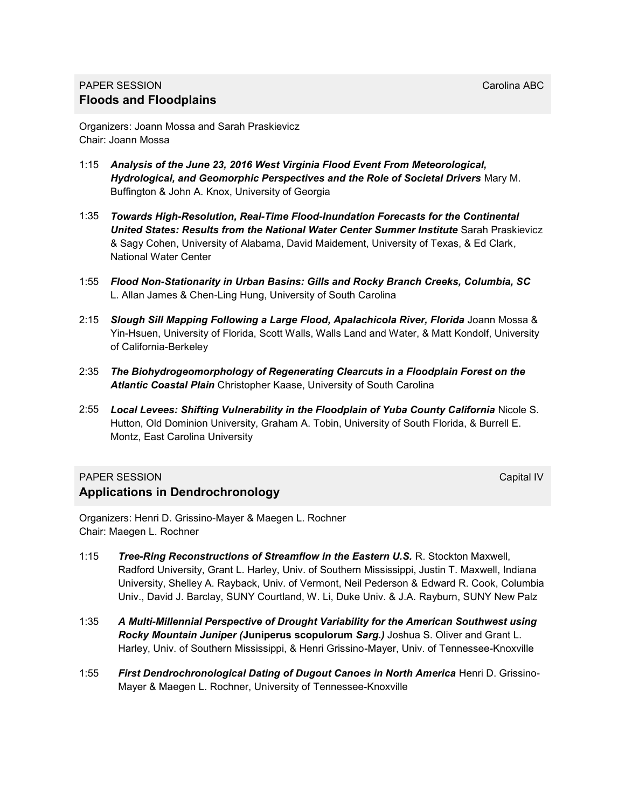### PAPER SESSION Carolina ABC **Floods and Floodplains**

Organizers: Joann Mossa and Sarah Praskievicz Chair: Joann Mossa

- 1:15 *Analysis of the June 23, 2016 West Virginia Flood Event From Meteorological, Hydrological, and Geomorphic Perspectives and the Role of Societal Drivers* Mary M. Buffington & John A. Knox, University of Georgia
- 1:35 *Towards High-Resolution, Real-Time Flood-Inundation Forecasts for the Continental*  **United States: Results from the National Water Center Summer Institute** Sarah Praskievicz & Sagy Cohen, University of Alabama, David Maidement, University of Texas, & Ed Clark, National Water Center
- 1:55 *Flood Non-Stationarity in Urban Basins: Gills and Rocky Branch Creeks, Columbia, SC*  L. Allan James & Chen-Ling Hung, University of South Carolina
- 2:15 Slough Sill Mapping Following a Large Flood, Apalachicola River, Florida Joann Mossa & Yin-Hsuen, University of Florida, Scott Walls, Walls Land and Water, & Matt Kondolf, University of California-Berkeley
- 2:35 *The Biohydrogeomorphology of Regenerating Clearcuts in a Floodplain Forest on the Atlantic Coastal Plain* Christopher Kaase, University of South Carolina
- 2:55 *Local Levees: Shifting Vulnerability in the Floodplain of Yuba County California* Nicole S. Hutton, Old Dominion University, Graham A. Tobin, University of South Florida, & Burrell E. Montz, East Carolina University

### **PAPER SESSION** CAPITAL CONTROL CONTROL CONTROL CONTROL CONTROL CAPITAL CAPITAL CAPITAL CAPITAL CAPITAL CAPITAL CAPITAL CAPITAL CAPITAL CAPITAL CAPITAL CAPITAL CAPITAL CAPITAL CAPITAL CAPITAL CAPITAL CAPITAL CAPITAL CAPITA **Applications in Dendrochronology**

Organizers: Henri D. Grissino-Mayer & Maegen L. Rochner Chair: Maegen L. Rochner

- 1:15 *Tree-Ring Reconstructions of Streamflow in the Eastern U.S.* R. Stockton Maxwell, Radford University, Grant L. Harley, Univ. of Southern Mississippi, Justin T. Maxwell, Indiana University, Shelley A. Rayback, Univ. of Vermont, Neil Pederson & Edward R. Cook, Columbia Univ., David J. Barclay, SUNY Courtland, W. Li, Duke Univ. & J.A. Rayburn, SUNY New Palz
- 1:35 *A Multi-Millennial Perspective of Drought Variability for the American Southwest using Rocky Mountain Juniper (***Juniperus scopulorum** *Sarg.)* Joshua S. Oliver and Grant L. Harley, Univ. of Southern Mississippi, & Henri Grissino-Mayer, Univ. of Tennessee-Knoxville
- 1:55 *First Dendrochronological Dating of Dugout Canoes in North America* Henri D. Grissino-Mayer & Maegen L. Rochner, University of Tennessee-Knoxville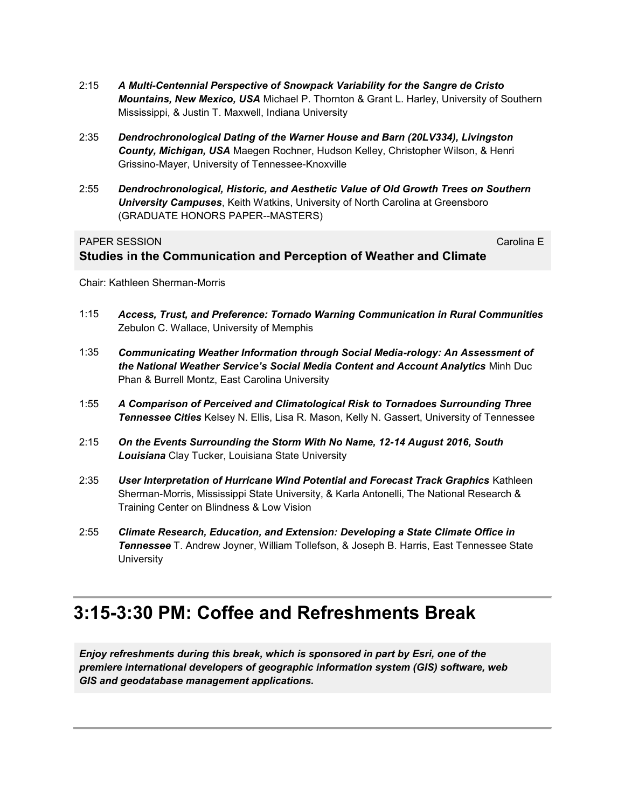- 2:15 *A Multi-Centennial Perspective of Snowpack Variability for the Sangre de Cristo Mountains, New Mexico, USA* Michael P. Thornton & Grant L. Harley, University of Southern Mississippi, & Justin T. Maxwell, Indiana University
- 2:35 *Dendrochronological Dating of the Warner House and Barn (20LV334), Livingston County, Michigan, USA* Maegen Rochner, Hudson Kelley, Christopher Wilson, & Henri Grissino-Mayer, University of Tennessee-Knoxville
- 2:55 *Dendrochronological, Historic, and Aesthetic Value of Old Growth Trees on Southern University Campuses*, Keith Watkins, University of North Carolina at Greensboro (GRADUATE HONORS PAPER--MASTERS)

#### **PAPER SESSION** Carolina E

### **Studies in the Communication and Perception of Weather and Climate**

Chair: Kathleen Sherman-Morris

- 1:15 *Access, Trust, and Preference: Tornado Warning Communication in Rural Communities* Zebulon C. Wallace, University of Memphis
- 1:35 *Communicating Weather Information through Social Media-rology: An Assessment of the National Weather Service's Social Media Content and Account Analytics* Minh Duc Phan & Burrell Montz, East Carolina University
- 1:55 *A Comparison of Perceived and Climatological Risk to Tornadoes Surrounding Three Tennessee Cities* Kelsey N. Ellis, Lisa R. Mason, Kelly N. Gassert, University of Tennessee
- 2:15 *On the Events Surrounding the Storm With No Name, 12-14 August 2016, South Louisiana* Clay Tucker, Louisiana State University
- 2:35 *User Interpretation of Hurricane Wind Potential and Forecast Track Graphics* Kathleen Sherman-Morris, Mississippi State University, & Karla Antonelli, The National Research & Training Center on Blindness & Low Vision
- 2:55 *Climate Research, Education, and Extension: Developing a State Climate Office in Tennessee* T. Andrew Joyner, William Tollefson, & Joseph B. Harris, East Tennessee State **University**

## **3:15-3:30 PM: Coffee and Refreshments Break**

*Enjoy refreshments during this break, which is sponsored in part by Esri, one of the premiere international developers of geographic information system (GIS) software, web GIS and geodatabase management applications.*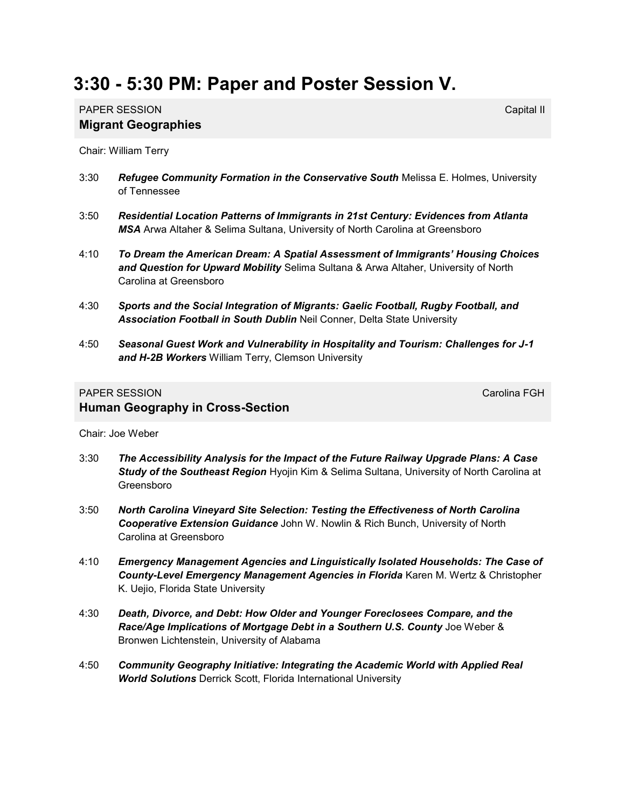# **3:30 - 5:30 PM: Paper and Poster Session V.**

### PAPER SESSION **Capital II** Capital II Capital II Capital II Capital II Capital II Capital II Capital II Capital II **Migrant Geographies**

Chair: William Terry

- 3:30 *Refugee Community Formation in the Conservative South* Melissa E. Holmes, University of Tennessee
- 3:50 *Residential Location Patterns of Immigrants in 21st Century: Evidences from Atlanta MSA* Arwa Altaher & Selima Sultana, University of North Carolina at Greensboro
- 4:10 *To Dream the American Dream: A Spatial Assessment of Immigrants' Housing Choices and Question for Upward Mobility* Selima Sultana & Arwa Altaher, University of North Carolina at Greensboro
- 4:30 *Sports and the Social Integration of Migrants: Gaelic Football, Rugby Football, and Association Football in South Dublin* Neil Conner, Delta State University
- 4:50 *Seasonal Guest Work and Vulnerability in Hospitality and Tourism: Challenges for J-1 and H-2B Workers* William Terry, Clemson University

### PAPER SESSION CAROLINE CONTROL CONTROL CAROLINE CAROLINE CAROLINE CAROLINE CAROLINE CAROLINE CAROLINE CAROLINE **Human Geography in Cross-Section**

Chair: Joe Weber

- 3:30 *The Accessibility Analysis for the Impact of the Future Railway Upgrade Plans: A Case Study of the Southeast Region* Hyojin Kim & Selima Sultana, University of North Carolina at Greensboro
- 3:50 *North Carolina Vineyard Site Selection: Testing the Effectiveness of North Carolina Cooperative Extension Guidance* John W. Nowlin & Rich Bunch, University of North Carolina at Greensboro
- 4:10 *Emergency Management Agencies and Linguistically Isolated Households: The Case of County-Level Emergency Management Agencies in Florida* Karen M. Wertz & Christopher K. Uejio, Florida State University
- 4:30 *Death, Divorce, and Debt: How Older and Younger Foreclosees Compare, and the Race/Age Implications of Mortgage Debt in a Southern U.S. County* Joe Weber & Bronwen Lichtenstein, University of Alabama
- 4:50 *Community Geography Initiative: Integrating the Academic World with Applied Real World Solutions* Derrick Scott, Florida International University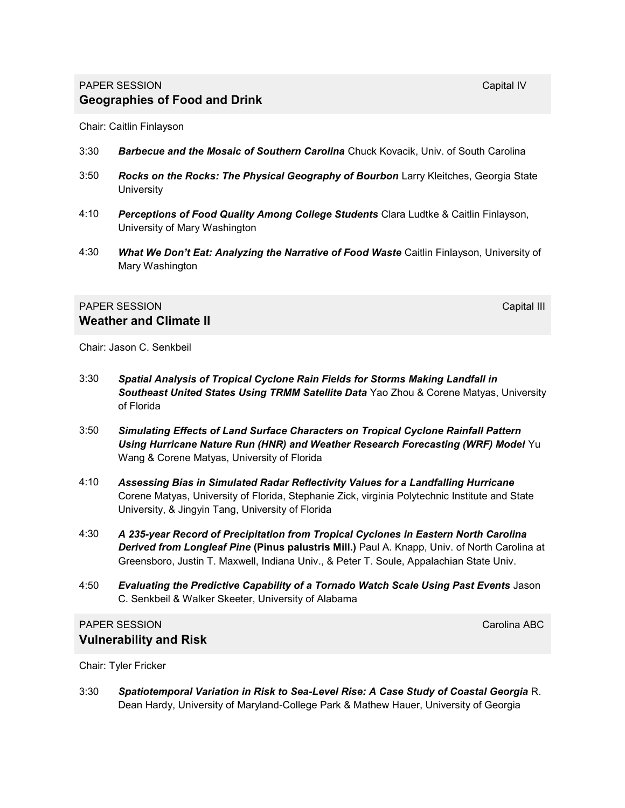Chair: Caitlin Finlayson

- 3:30 *Barbecue and the Mosaic of Southern Carolina* Chuck Kovacik, Univ. of South Carolina
- 3:50 *Rocks on the Rocks: The Physical Geography of Bourbon* Larry Kleitches, Georgia State **University**
- 4:10 *Perceptions of Food Quality Among College Students* Clara Ludtke & Caitlin Finlayson, University of Mary Washington
- 4:30 *What We Don't Eat: Analyzing the Narrative of Food Waste* Caitlin Finlayson, University of Mary Washington

#### PAPER SESSION **Capital III** Capital III Capital III Capital III Capital III Capital III Capital III **Weather and Climate II**

Chair: Jason C. Senkbeil

- 3:30 *Spatial Analysis of Tropical Cyclone Rain Fields for Storms Making Landfall in Southeast United States Using TRMM Satellite Data* Yao Zhou & Corene Matyas, University of Florida
- 3:50 *Simulating Effects of Land Surface Characters on Tropical Cyclone Rainfall Pattern Using Hurricane Nature Run (HNR) and Weather Research Forecasting (WRF) Model* Yu Wang & Corene Matyas, University of Florida
- 4:10 *Assessing Bias in Simulated Radar Reflectivity Values for a Landfalling Hurricane*  Corene Matyas, University of Florida, Stephanie Zick, virginia Polytechnic Institute and State University, & Jingyin Tang, University of Florida
- 4:30 *A 235-year Record of Precipitation from Tropical Cyclones in Eastern North Carolina Derived from Longleaf Pine* **(Pinus palustris Mill.)** Paul A. Knapp, Univ. of North Carolina at Greensboro, Justin T. Maxwell, Indiana Univ., & Peter T. Soule, Appalachian State Univ.
- 4:50 *Evaluating the Predictive Capability of a Tornado Watch Scale Using Past Events* Jason C. Senkbeil & Walker Skeeter, University of Alabama

### PAPER SESSION Carolina ABC **Vulnerability and Risk**

Chair: Tyler Fricker

3:30 *Spatiotemporal Variation in Risk to Sea-Level Rise: A Case Study of Coastal Georgia* R. Dean Hardy, University of Maryland-College Park & Mathew Hauer, University of Georgia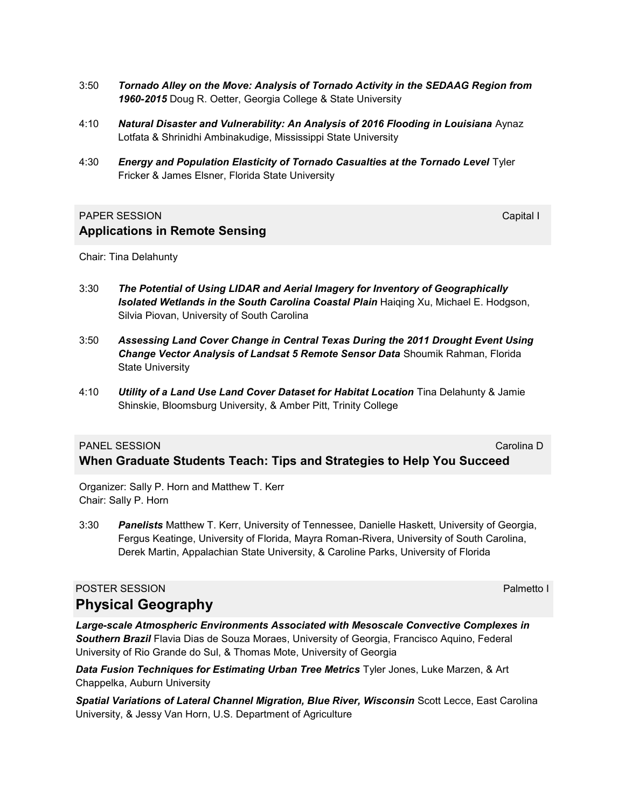- 3:50 *Tornado Alley on the Move: Analysis of Tornado Activity in the SEDAAG Region from 1960-2015* Doug R. Oetter, Georgia College & State University
- 4:10 *Natural Disaster and Vulnerability: An Analysis of 2016 Flooding in Louisiana* Aynaz Lotfata & Shrinidhi Ambinakudige, Mississippi State University
- 4:30 *Energy and Population Elasticity of Tornado Casualties at the Tornado Level* Tyler Fricker & James Elsner, Florida State University

### **PAPER SESSION** Capital International Capital International Capital International Capital International Capital I **Applications in Remote Sensing**

Chair: Tina Delahunty

- 3:30 *The Potential of Using LIDAR and Aerial Imagery for Inventory of Geographically Isolated Wetlands in the South Carolina Coastal Plain* Haiqing Xu, Michael E. Hodgson, Silvia Piovan, University of South Carolina
- 3:50 *Assessing Land Cover Change in Central Texas During the 2011 Drought Event Using Change Vector Analysis of Landsat 5 Remote Sensor Data* Shoumik Rahman, Florida State University
- 4:10 *Utility of a Land Use Land Cover Dataset for Habitat Location* Tina Delahunty & Jamie Shinskie, Bloomsburg University, & Amber Pitt, Trinity College

**When Graduate Students Teach: Tips and Strategies to Help You Succeed**

#### **PANEL SESSION** Carolina Decree and Carolina Decree and Carolina Decree and Carolina Decree and Carolina Decree and Carolina Decree and Carolina Decree and Carolina Decree and Carolina Decree and Carolina Decree and Caroli

Organizer: Sally P. Horn and Matthew T. Kerr

Chair: Sally P. Horn

3:30 *Panelists* Matthew T. Kerr, University of Tennessee, Danielle Haskett, University of Georgia, Fergus Keatinge, University of Florida, Mayra Roman-Rivera, University of South Carolina, Derek Martin, Appalachian State University, & Caroline Parks, University of Florida

### POSTER SESSION **POSTER SESSION**

**Physical Geography**

*Large-scale Atmospheric Environments Associated with Mesoscale Convective Complexes in Southern Brazil* Flavia Dias de Souza Moraes, University of Georgia, Francisco Aquino, Federal University of Rio Grande do Sul, & Thomas Mote, University of Georgia

*Data Fusion Techniques for Estimating Urban Tree Metrics* Tyler Jones, Luke Marzen, & Art Chappelka, Auburn University

*Spatial Variations of Lateral Channel Migration, Blue River, Wisconsin* Scott Lecce, East Carolina University, & Jessy Van Horn, U.S. Department of Agriculture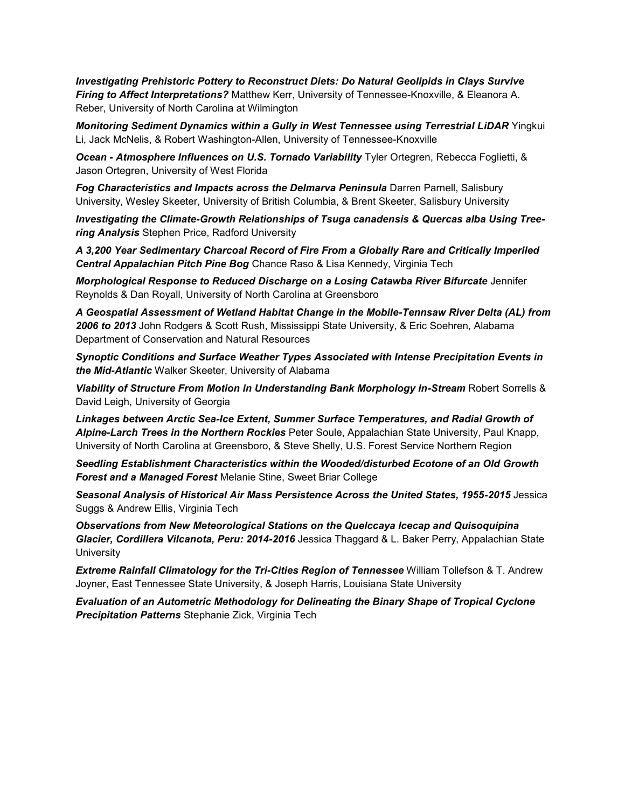*Investigating Prehistoric Pottery to Reconstruct Diets: Do Natural Geolipids in Clays Survive Firing to Affect Interpretations?* Matthew Kerr, University of Tennessee-Knoxville, & Eleanora A. Reber, University of North Carolina at Wilmington

*Monitoring Sediment Dynamics within a Gully in West Tennessee using Terrestrial LiDAR* Yingkui Li, Jack McNelis, & Robert Washington-Allen, University of Tennessee-Knoxville

*Ocean - Atmosphere Influences on U.S. Tornado Variability* Tyler Ortegren, Rebecca Foglietti, & Jason Ortegren, University of West Florida

*Fog Characteristics and Impacts across the Delmarva Peninsula* Darren Parnell, Salisbury University, Wesley Skeeter, University of British Columbia, & Brent Skeeter, Salisbury University

*Investigating the Climate-Growth Relationships of Tsuga canadensis & Quercas alba Using Treering Analysis* Stephen Price, Radford University

*A 3,200 Year Sedimentary Charcoal Record of Fire From a Globally Rare and Critically Imperiled Central Appalachian Pitch Pine Bog* Chance Raso & Lisa Kennedy, Virginia Tech

*Morphological Response to Reduced Discharge on a Losing Catawba River Bifurcate* Jennifer Reynolds & Dan Royall, University of North Carolina at Greensboro

*A Geospatial Assessment of Wetland Habitat Change in the Mobile-Tennsaw River Delta (AL) from 2006 to 2013* John Rodgers & Scott Rush, Mississippi State University, & Eric Soehren, Alabama Department of Conservation and Natural Resources

*Synoptic Conditions and Surface Weather Types Associated with Intense Precipitation Events in the Mid-Atlantic* Walker Skeeter, University of Alabama

*Viability of Structure From Motion in Understanding Bank Morphology In-Stream* Robert Sorrells & David Leigh, University of Georgia

*Linkages between Arctic Sea-Ice Extent, Summer Surface Temperatures, and Radial Growth of Alpine-Larch Trees in the Northern Rockies* Peter Soule, Appalachian State University, Paul Knapp, University of North Carolina at Greensboro, & Steve Shelly, U.S. Forest Service Northern Region

*Seedling Establishment Characteristics within the Wooded/disturbed Ecotone of an Old Growth Forest and a Managed Forest* Melanie Stine, Sweet Briar College

*Seasonal Analysis of Historical Air Mass Persistence Across the United States, 1955-2015* Jessica Suggs & Andrew Ellis, Virginia Tech

*Observations from New Meteorological Stations on the Quelccaya Icecap and Quisoquipina Glacier, Cordillera Vilcanota, Peru: 2014-2016* Jessica Thaggard & L. Baker Perry, Appalachian State **University** 

*Extreme Rainfall Climatology for the Tri-Cities Region of Tennessee* William Tollefson & T. Andrew Joyner, East Tennessee State University, & Joseph Harris, Louisiana State University

*Evaluation of an Autometric Methodology for Delineating the Binary Shape of Tropical Cyclone Precipitation Patterns* Stephanie Zick, Virginia Tech